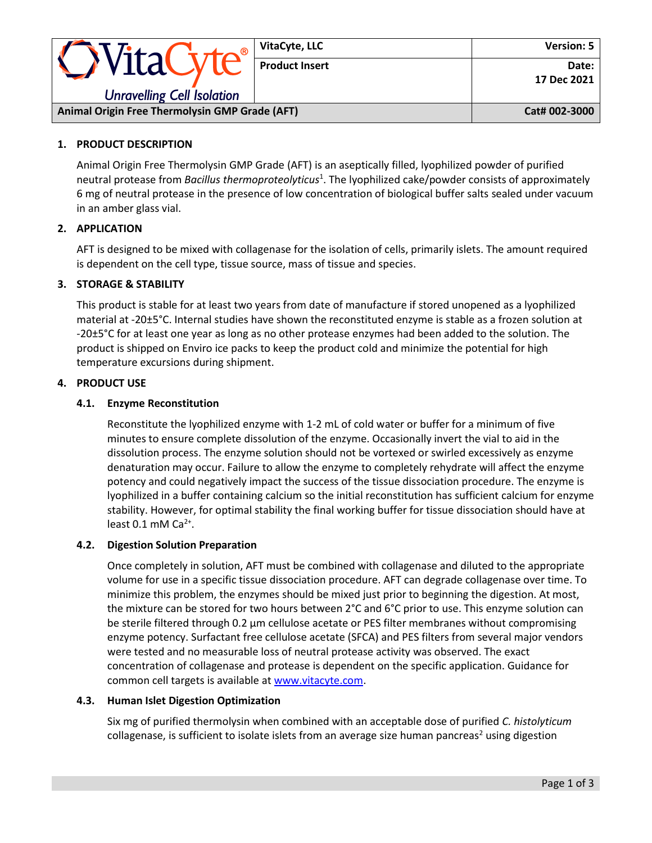| <b>OVitaCyte®</b>                                     | VitaCyte, LLC         | Version: 5             |
|-------------------------------------------------------|-----------------------|------------------------|
|                                                       | <b>Product Insert</b> | Date: I<br>17 Dec 2021 |
| <b>Unravelling Cell Isolation</b>                     |                       |                        |
| <b>Animal Origin Free Thermolysin GMP Grade (AFT)</b> |                       | Cat# 002-3000          |

### **1. PRODUCT DESCRIPTION**

Animal Origin Free Thermolysin GMP Grade (AFT) is an aseptically filled, lyophilized powder of purified neutral protease from *Bacillus thermoproteolyticus*<sup>1</sup> . The lyophilized cake/powder consists of approximately 6 mg of neutral protease in the presence of low concentration of biological buffer salts sealed under vacuum in an amber glass vial.

### **2. APPLICATION**

AFT is designed to be mixed with collagenase for the isolation of cells, primarily islets. The amount required is dependent on the cell type, tissue source, mass of tissue and species.

# **3. STORAGE & STABILITY**

This product is stable for at least two years from date of manufacture if stored unopened as a lyophilized material at -20±5°C. Internal studies have shown the reconstituted enzyme is stable as a frozen solution at -20±5°C for at least one year as long as no other protease enzymes had been added to the solution. The product is shipped on Enviro ice packs to keep the product cold and minimize the potential for high temperature excursions during shipment.

### **4. PRODUCT USE**

### **4.1. Enzyme Reconstitution**

Reconstitute the lyophilized enzyme with 1-2 mL of cold water or buffer for a minimum of five minutes to ensure complete dissolution of the enzyme. Occasionally invert the vial to aid in the dissolution process. The enzyme solution should not be vortexed or swirled excessively as enzyme denaturation may occur. Failure to allow the enzyme to completely rehydrate will affect the enzyme potency and could negatively impact the success of the tissue dissociation procedure. The enzyme is lyophilized in a buffer containing calcium so the initial reconstitution has sufficient calcium for enzyme stability. However, for optimal stability the final working buffer for tissue dissociation should have at least  $0.1$  mM Ca<sup>2+</sup>.

### **4.2. Digestion Solution Preparation**

Once completely in solution, AFT must be combined with collagenase and diluted to the appropriate volume for use in a specific tissue dissociation procedure. AFT can degrade collagenase over time. To minimize this problem, the enzymes should be mixed just prior to beginning the digestion. At most, the mixture can be stored for two hours between 2°C and 6°C prior to use. This enzyme solution can be sterile filtered through 0.2 μm cellulose acetate or PES filter membranes without compromising enzyme potency. Surfactant free cellulose acetate (SFCA) and PES filters from several major vendors were tested and no measurable loss of neutral protease activity was observed. The exact concentration of collagenase and protease is dependent on the specific application. Guidance for common cell targets is available at [www.vitacyte.com.](http://www.vitacyte.com/)

### **4.3. Human Islet Digestion Optimization**

Six mg of purified thermolysin when combined with an acceptable dose of purified *C. histolyticum* collagenase, is sufficient to isolate islets from an average size human pancreas<sup>2</sup> using digestion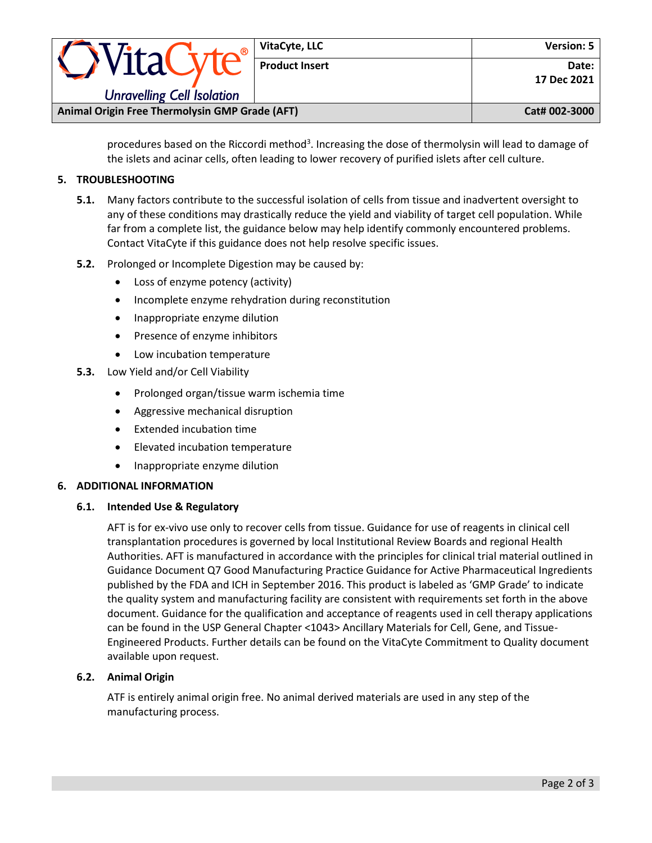| <i><b>OVitaCyte®</b></i>                       | VitaCyte, LLC         | Version: 5             |
|------------------------------------------------|-----------------------|------------------------|
|                                                | <b>Product Insert</b> | Date: I<br>17 Dec 2021 |
| <b>Unravelling Cell Isolation</b>              |                       |                        |
| Animal Origin Free Thermolysin GMP Grade (AFT) |                       | Cat# 002-3000          |

procedures based on the Riccordi method<sup>3</sup>. Increasing the dose of thermolysin will lead to damage of the islets and acinar cells, often leading to lower recovery of purified islets after cell culture.

## **5. TROUBLESHOOTING**

- **5.1.** Many factors contribute to the successful isolation of cells from tissue and inadvertent oversight to any of these conditions may drastically reduce the yield and viability of target cell population. While far from a complete list, the guidance below may help identify commonly encountered problems. Contact VitaCyte if this guidance does not help resolve specific issues.
- **5.2.** Prolonged or Incomplete Digestion may be caused by:
	- Loss of enzyme potency (activity)
	- Incomplete enzyme rehydration during reconstitution
	- Inappropriate enzyme dilution
	- Presence of enzyme inhibitors
	- Low incubation temperature
- **5.3.** Low Yield and/or Cell Viability
	- Prolonged organ/tissue warm ischemia time
	- Aggressive mechanical disruption
	- Extended incubation time
	- Elevated incubation temperature
	- Inappropriate enzyme dilution

### **6. ADDITIONAL INFORMATION**

### **6.1. Intended Use & Regulatory**

AFT is for ex-vivo use only to recover cells from tissue. Guidance for use of reagents in clinical cell transplantation procedures is governed by local Institutional Review Boards and regional Health Authorities. AFT is manufactured in accordance with the principles for clinical trial material outlined in Guidance Document Q7 Good Manufacturing Practice Guidance for Active Pharmaceutical Ingredients published by the FDA and ICH in September 2016. This product is labeled as 'GMP Grade' to indicate the quality system and manufacturing facility are consistent with requirements set forth in the above document. Guidance for the qualification and acceptance of reagents used in cell therapy applications can be found in the USP General Chapter <1043> Ancillary Materials for Cell, Gene, and Tissue-Engineered Products. Further details can be found on the VitaCyte Commitment to Quality document available upon request.

### **6.2. Animal Origin**

ATF is entirely animal origin free. No animal derived materials are used in any step of the manufacturing process.